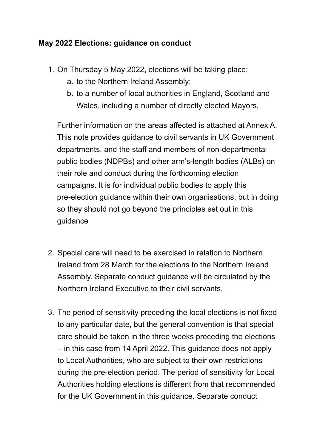#### **May 2022 Elections: guidance on conduct**

- 1. On Thursday 5 May 2022, elections will be taking place:
	- a. to the Northern Ireland Assembly;
	- b. to a number of local authorities in England, Scotland and Wales, including a number of directly elected Mayors.

 Further information on the areas affected is attached at Annex A. This note provides guidance to civil servants in UK Government departments, and the staff and members of non-departmental public bodies (NDPBs) and other arm's-length bodies (ALBs) on their role and conduct during the forthcoming election campaigns. It is for individual public bodies to apply this pre-election guidance within their own organisations, but in doing so they should not go beyond the principles set out in this guidance

- 2. Special care will need to be exercised in relation to Northern Ireland from 28 March for the elections to the Northern Ireland Assembly. Separate conduct guidance will be circulated by the Northern Ireland Executive to their civil servants.
- 3. The period of sensitivity preceding the local elections is not fixed to any particular date, but the general convention is that special care should be taken in the three weeks preceding the elections – in this case from 14 April 2022. This guidance does not apply to Local Authorities, who are subject to their own restrictions during the pre-election period. The period of sensitivity for Local Authorities holding elections is different from that recommended for the UK Government in this guidance. Separate conduct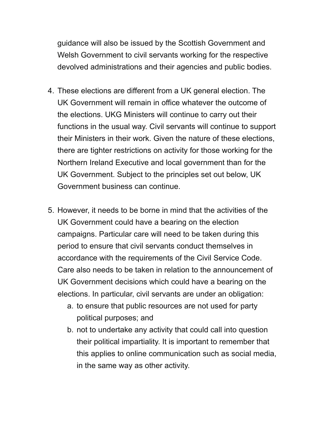guidance will also be issued by the Scottish Government and Welsh Government to civil servants working for the respective devolved administrations and their agencies and public bodies.

- 4. These elections are different from a UK general election. The UK Government will remain in office whatever the outcome of the elections. UKG Ministers will continue to carry out their functions in the usual way. Civil servants will continue to support their Ministers in their work. Given the nature of these elections, there are tighter restrictions on activity for those working for the Northern Ireland Executive and local government than for the UK Government. Subject to the principles set out below, UK Government business can continue.
- 5. However, it needs to be borne in mind that the activities of the UK Government could have a bearing on the election campaigns. Particular care will need to be taken during this period to ensure that civil servants conduct themselves in accordance with the requirements of the Civil Service Code. Care also needs to be taken in relation to the announcement of UK Government decisions which could have a bearing on the elections. In particular, civil servants are under an obligation:
	- a. to ensure that public resources are not used for party political purposes; and
	- b. not to undertake any activity that could call into question their political impartiality. It is important to remember that this applies to online communication such as social media, in the same way as other activity.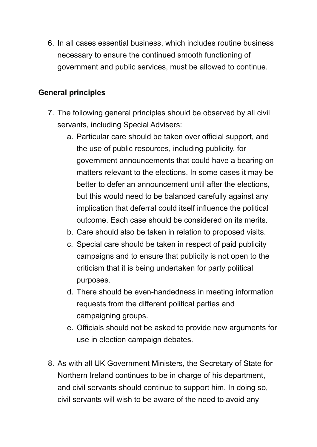6. In all cases essential business, which includes routine business necessary to ensure the continued smooth functioning of government and public services, must be allowed to continue.

#### **General principles**

- 7. The following general principles should be observed by all civil servants, including Special Advisers:
	- a. Particular care should be taken over official support, and the use of public resources, including publicity, for government announcements that could have a bearing on matters relevant to the elections. In some cases it may be better to defer an announcement until after the elections, but this would need to be balanced carefully against any implication that deferral could itself influence the political outcome. Each case should be considered on its merits.
	- b. Care should also be taken in relation to proposed visits.
	- c. Special care should be taken in respect of paid publicity campaigns and to ensure that publicity is not open to the criticism that it is being undertaken for party political purposes.
	- d. There should be even-handedness in meeting information requests from the different political parties and campaigning groups.
	- e. Officials should not be asked to provide new arguments for use in election campaign debates.
- 8. As with all UK Government Ministers, the Secretary of State for Northern Ireland continues to be in charge of his department, and civil servants should continue to support him. In doing so, civil servants will wish to be aware of the need to avoid any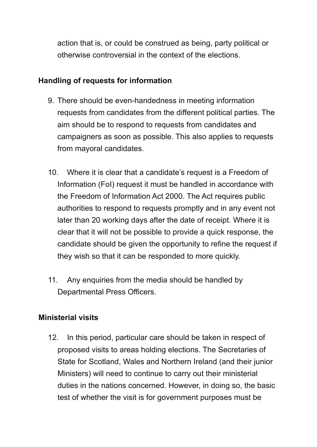action that is, or could be construed as being, party political or otherwise controversial in the context of the elections.

#### **Handling of requests for information**

- 9. There should be even-handedness in meeting information requests from candidates from the different political parties. The aim should be to respond to requests from candidates and campaigners as soon as possible. This also applies to requests from mayoral candidates.
- 10. Where it is clear that a candidate's request is a Freedom of Information (FoI) request it must be handled in accordance with the Freedom of Information Act 2000. The Act requires public authorities to respond to requests promptly and in any event not later than 20 working days after the date of receipt. Where it is clear that it will not be possible to provide a quick response, the candidate should be given the opportunity to refine the request if they wish so that it can be responded to more quickly.
- 11. Any enquiries from the media should be handled by Departmental Press Officers.

#### **Ministerial visits**

 12. In this period, particular care should be taken in respect of proposed visits to areas holding elections. The Secretaries of State for Scotland, Wales and Northern Ireland (and their junior Ministers) will need to continue to carry out their ministerial duties in the nations concerned. However, in doing so, the basic test of whether the visit is for government purposes must be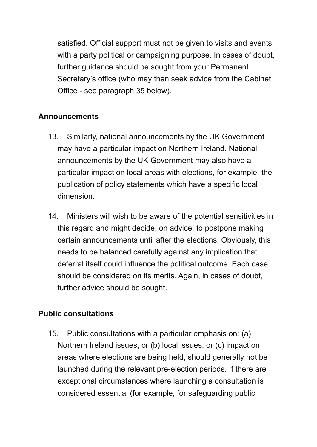satisfied. Official support must not be given to visits and events with a party political or campaigning purpose. In cases of doubt, further guidance should be sought from your Permanent Secretary's office (who may then seek advice from the Cabinet Office - see paragraph 35 below).

#### **Announcements**

- 13. Similarly, national announcements by the UK Government may have a particular impact on Northern Ireland. National announcements by the UK Government may also have a particular impact on local areas with elections, for example, the publication of policy statements which have a specific local dimension.
- 14. Ministers will wish to be aware of the potential sensitivities in this regard and might decide, on advice, to postpone making certain announcements until after the elections. Obviously, this needs to be balanced carefully against any implication that deferral itself could influence the political outcome. Each case should be considered on its merits. Again, in cases of doubt, further advice should be sought.

# **Public consultations**

 15. Public consultations with a particular emphasis on: (a) Northern Ireland issues, or (b) local issues, or (c) impact on areas where elections are being held, should generally not be launched during the relevant pre-election periods. If there are exceptional circumstances where launching a consultation is considered essential (for example, for safeguarding public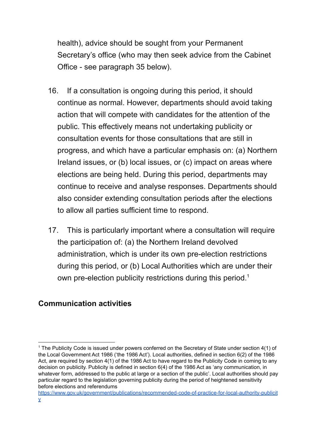health), advice should be sought from your Permanent Secretary's office (who may then seek advice from the Cabinet Office - see paragraph 35 below).

- 16. If a consultation is ongoing during this period, it should continue as normal. However, departments should avoid taking action that will compete with candidates for the attention of the public. This effectively means not undertaking publicity or consultation events for those consultations that are still in progress, and which have a particular emphasis on: (a) Northern Ireland issues, or (b) local issues, or (c) impact on areas where elections are being held. During this period, departments may continue to receive and analyse responses. Departments should also consider extending consultation periods after the elections to allow all parties sufficient time to respond.
- 17. This is particularly important where a consultation will require the participation of: (a) the Northern Ireland devolved administration, which is under its own pre-election restrictions during this period, or (b) Local Authorities which are under their own pre-election publicity restrictions during this period.<sup>1</sup>

# **Communication activities**

 $1$  The Publicity Code is issued under powers conferred on the Secretary of State under section 4(1) of the Local Government Act 1986 ('the 1986 Act'). Local authorities, defined in section 6(2) of the 1986 Act, are required by section 4(1) of the 1986 Act to have regard to the Publicity Code in coming to any decision on publicity. Publicity is defined in section 6(4) of the 1986 Act as 'any communication, in whatever form, addressed to the public at large or a section of the public'. Local authorities should pay particular regard to the legislation governing publicity during the period of heightened sensitivity before elections and referendums

[https://www.gov.uk/government/publications/recommended-code-of-practice-for-local-authority-publicit](https://www.gov.uk/government/publications/recommended-code-of-practice-for-local-authority-publicity) [y](https://www.gov.uk/government/publications/recommended-code-of-practice-for-local-authority-publicity)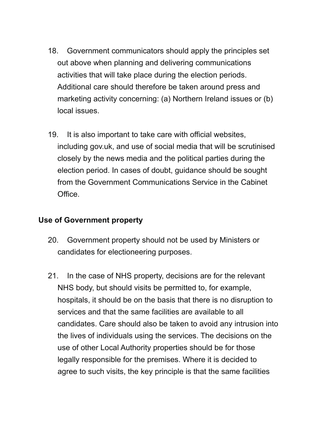- 18. Government communicators should apply the principles set out above when planning and delivering communications activities that will take place during the election periods. Additional care should therefore be taken around press and marketing activity concerning: (a) Northern Ireland issues or (b) local issues.
- 19. It is also important to take care with official websites, including gov.uk, and use of social media that will be scrutinised closely by the news media and the political parties during the election period. In cases of doubt, guidance should be sought from the Government Communications Service in the Cabinet Office.

#### **Use of Government property**

- 20. Government property should not be used by Ministers or candidates for electioneering purposes.
- 21. In the case of NHS property, decisions are for the relevant NHS body, but should visits be permitted to, for example, hospitals, it should be on the basis that there is no disruption to services and that the same facilities are available to all candidates. Care should also be taken to avoid any intrusion into the lives of individuals using the services. The decisions on the use of other Local Authority properties should be for those legally responsible for the premises. Where it is decided to agree to such visits, the key principle is that the same facilities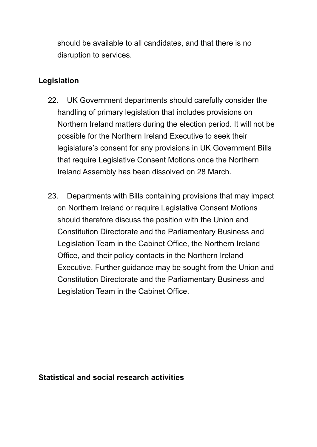should be available to all candidates, and that there is no disruption to services.

# **Legislation**

- 22. UK Government departments should carefully consider the handling of primary legislation that includes provisions on Northern Ireland matters during the election period. It will not be possible for the Northern Ireland Executive to seek their legislature's consent for any provisions in UK Government Bills that require Legislative Consent Motions once the Northern Ireland Assembly has been dissolved on 28 March.
- 23. Departments with Bills containing provisions that may impact on Northern Ireland or require Legislative Consent Motions should therefore discuss the position with the Union and Office, and their policy contacts in the Northern Ireland Executive. Further guidance may be sought from the Union and Constitution Directorate and the Parliamentary Business and Legislation Team in the Cabinet Office. Constitution Directorate and the Parliamentary Business and Legislation Team in the Cabinet Office, the Northern Ireland

#### **Statistical and social research activities**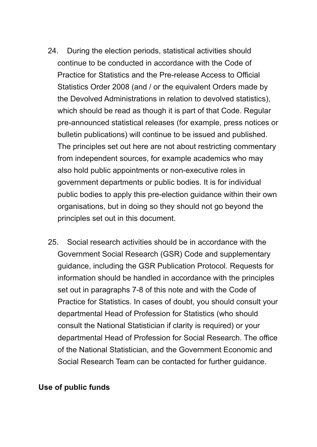- 24. During the election periods, statistical activities should continue to be conducted in accordance with the Code of Practice for Statistics and the Pre-release Access to Official Statistics Order 2008 (and / or the equivalent Orders made by the Devolved Administrations in relation to devolved statistics), which should be read as though it is part of that Code. Regular pre-announced statistical releases (for example, press notices or bulletin publications) will continue to be issued and published. The principles set out here are not about restricting commentary from independent sources, for example academics who may also hold public appointments or non-executive roles in government departments or public bodies. It is for individual public bodies to apply this pre-election guidance within their own organisations, but in doing so they should not go beyond the principles set out in this document.
- 25. Social research activities should be in accordance with the Government Social Research (GSR) Code and supplementary guidance, including the GSR Publication Protocol. Requests for information should be handled in accordance with the principles set out in paragraphs 7-8 of this note and with the Code of Practice for Statistics. In cases of doubt, you should consult your departmental Head of Profession for Statistics (who should consult the National Statistician if clarity is required) or your departmental Head of Profession for Social Research. The office of the National Statistician, and the Government Economic and Social Research Team can be contacted for further guidance.

#### **Use of public funds**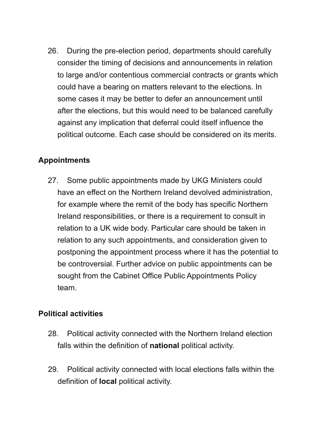26. During the pre-election period, departments should carefully consider the timing of decisions and announcements in relation to large and/or contentious commercial contracts or grants which could have a bearing on matters relevant to the elections. In some cases it may be better to defer an announcement until after the elections, but this would need to be balanced carefully against any implication that deferral could itself influence the political outcome. Each case should be considered on its merits.

# **Appointments**

 27. Some public appointments made by UKG Ministers could have an effect on the Northern Ireland devolved administration, for example where the remit of the body has specific Northern Ireland responsibilities, or there is a requirement to consult in relation to a UK wide body. Particular care should be taken in relation to any such appointments, and consideration given to postponing the appointment process where it has the potential to be controversial. Further advice on public appointments can be sought from the Cabinet Office Public Appointments Policy team.

# **Political activities**

- 28. Political activity connected with the Northern Ireland election falls within the definition of **national** political activity.
- 29. Political activity connected with local elections falls within the definition of **local** political activity.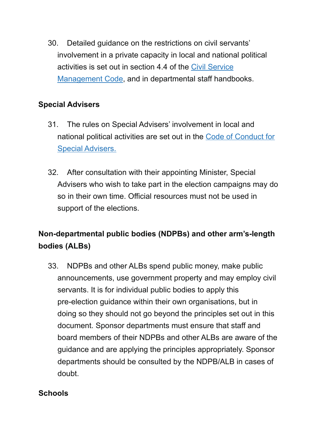30. Detailed guidance on the restrictions on civil servants' involvement in a private capacity in local and national political activities is set out in section 4.4 of the Civil [Service](http://www.civilservice.gov.uk/about/resources/civil-service-management-code) [Management](http://www.civilservice.gov.uk/about/resources/civil-service-management-code) Code, and in departmental staff handbooks.

# **Special Advisers**

- 31. The rules on Special Advisers' involvement in local and national political activities are set out in the Code of [Conduct](https://www.gov.uk/government/publications/special-advisers-code-of-conduct.) for Special [Advisers.](https://www.gov.uk/government/publications/special-advisers-code-of-conduct.)
- 32. After consultation with their appointing Minister, Special Advisers who wish to take part in the election campaigns may do so in their own time. Official resources must not be used in support of the elections.

# **Non-departmental public bodies (NDPBs) and other arm's-length bodies (ALBs)**

 33. NDPBs and other ALBs spend public money, make public announcements, use government property and may employ civil servants. It is for individual public bodies to apply this pre-election guidance within their own organisations, but in doing so they should not go beyond the principles set out in this document. Sponsor departments must ensure that staff and board members of their NDPBs and other ALBs are aware of the guidance and are applying the principles appropriately. Sponsor departments should be consulted by the NDPB/ALB in cases of doubt.

# **Schools**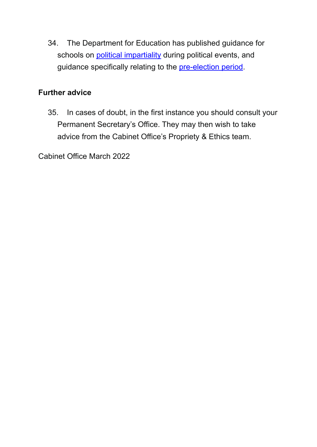34. The Department for Education has published guidance for guidance specifically relating to the **[pre-election](https://www.gov.uk/government/publications/pre-election-guidance-for-schools-and-multi-academy-trusts/pre-election-guidance-for-schools-and-multi-academy-trusts) period**. schools on political [impartiality](https://www.gov.uk/government/publications/political-impartiality-in-schools/political-impartiality-in-schools#during-political-events) during political events, and

# **Further advice**

 35. In cases of doubt, in the first instance you should consult your Permanent Secretary's Office. They may then wish to take advice from the Cabinet Office's Propriety & Ethics team.

Cabinet Office March 2022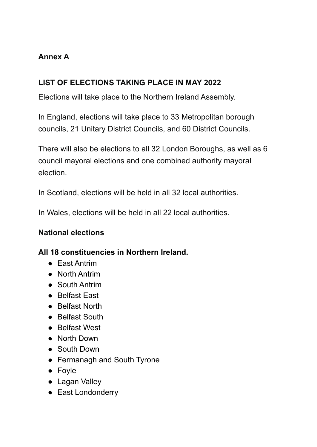# **Annex A**

# **LIST OF ELECTIONS TAKING PLACE IN MAY 2022**

Elections will take place to the Northern Ireland Assembly.

 In England, elections will take place to 33 Metropolitan borough councils, 21 Unitary District Councils, and 60 District Councils.

 There will also be elections to all 32 London Boroughs, as well as 6 council mayoral elections and one combined authority mayoral election.

In Scotland, elections will be held in all 32 local authorities.

In Wales, elections will be held in all 22 local authorities.

# **National elections**

# **All 18 constituencies in Northern Ireland.**

- East Antrim
- North Antrim
- South Antrim
- Belfast East
- Belfast North
- Belfast South
- Belfast West
- North Down
- South Down
- Fermanagh and South Tyrone
- Foyle
- Lagan Valley
- East Londonderry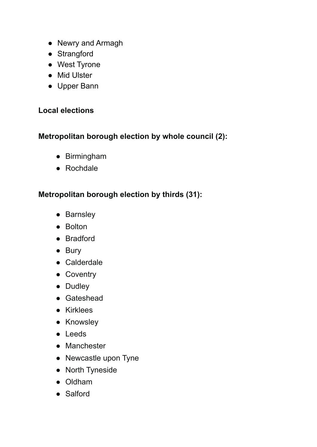- Newry and Armagh
- Strangford
- West Tyrone
- Mid Ulster
- Upper Bann

#### **Local elections**

# **Metropolitan borough election by whole council (2):**

- Birmingham
- Rochdale

# **Metropolitan borough election by thirds (31):**

- Barnsley
- Bolton
- Bradford
- Bury
- Calderdale
- Coventry
- Dudley
- Gateshead
- Kirklees
- Knowsley
- Leeds
- Manchester
- Newcastle upon Tyne
- North Tyneside
- Oldham
- Salford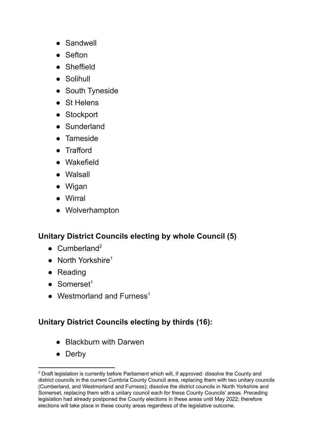- Sandwell
- Sefton
- Sheffield
- Solihull
- South Tyneside
- St Helens
- Stockport
- Sunderland
- Tameside
- Trafford
- Wakefield
- Walsall
- Wigan
- Wirral
- Wolverhampton

#### **Unitary District Councils electing by whole Council (5)**

- $\bullet$  Cumberland<sup>2</sup>
- North Yorkshire<sup>1</sup>
- Reading
- $\bullet$  Somerset<sup>1</sup>
- $\bullet$  Westmorland and Furness<sup>1</sup>

#### **Unitary District Councils electing by thirds (16):**

- Blackburn with Darwen
- Derby

 $2$  Draft legislation is currently before Parliament which will, if approved: dissolve the County and district councils in the current Cumbria County Council area, replacing them with two unitary councils (Cumberland, and Westmorland and Furness); dissolve the district councils in North Yorkshire and Somerset, replacing them with a unitary council each for these County Councils' areas. Preceding legislation had already postponed the County elections in these areas until May 2022; therefore elections will take place in these county areas regardless of the legislative outcome.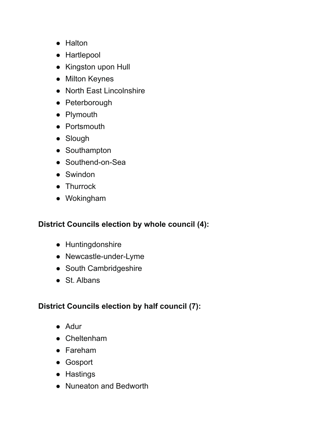- Halton
- Hartlepool
- Kingston upon Hull
- Milton Keynes
- North East Lincolnshire
- Peterborough
- Plymouth
- Portsmouth
- Slough
- Southampton
- Southend-on-Sea
- Swindon
- Thurrock
- Wokingham

#### **District Councils election by whole council (4):**

- Huntingdonshire
- Newcastle-under-Lyme
- South Cambridgeshire
- St. Albans

# **District Councils election by half council (7):**

- Adur
- Cheltenham
- Fareham
- Gosport
- Hastings
- Nuneaton and Bedworth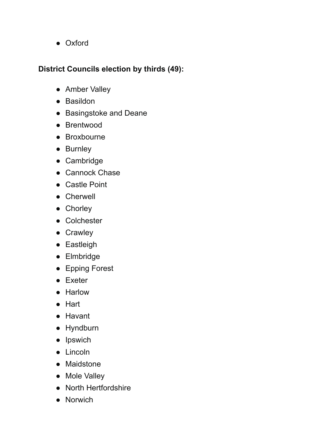● Oxford

#### **District Councils election by thirds (49):**

- Amber Valley
- Basildon
- Basingstoke and Deane
- Brentwood
- Broxbourne
- Burnley
- Cambridge
- Cannock Chase
- Castle Point
- Cherwell
- Chorley
- Colchester
- Crawley
- Eastleigh
- Elmbridge
- Epping Forest
- Exeter
- Harlow
- Hart
- Havant
- Hyndburn
- Ipswich
- Lincoln
- Maidstone
- Mole Valley
- North Hertfordshire
- Norwich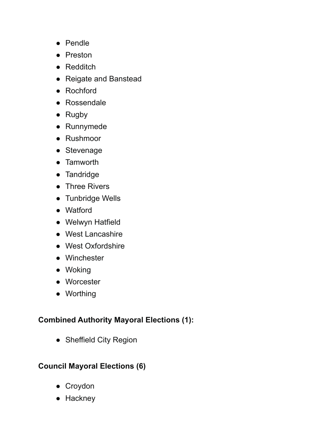- Pendle
- Preston
- Redditch
- Reigate and Banstead
- Rochford
- Rossendale
- Rugby
- Runnymede
- Rushmoor
- Stevenage
- Tamworth
- Tandridge
- Three Rivers
- Tunbridge Wells
- Watford
- Welwyn Hatfield
- West Lancashire
- West Oxfordshire
- Winchester
- Woking
- Worcester
- Worthing

# **Combined Authority Mayoral Elections (1):**

• Sheffield City Region

# **Council Mayoral Elections (6)**

- Croydon
- Hackney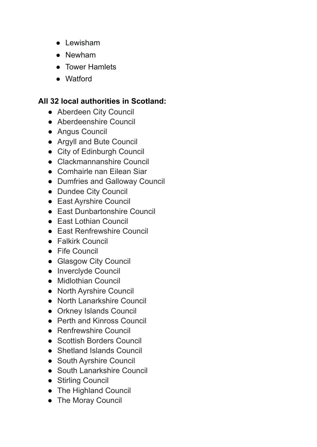- Lewisham
- Newham
- Tower Hamlets
- Watford

#### **All 32 local authorities in Scotland:**

- Aberdeen City Council
- Aberdeenshire Council
- Angus Council
- Argyll and Bute Council
- City of Edinburgh Council
- Clackmannanshire Council
- Comhairle nan Eilean Siar
- Dumfries and Galloway Council
- Dundee City Council
- East Ayrshire Council
- East Dunbartonshire Council
- East Lothian Council
- East Renfrewshire Council
- Falkirk Council
- Fife Council
- Glasgow City Council
- Inverclyde Council
- Midlothian Council
- North Ayrshire Council
- North Lanarkshire Council
- Orkney Islands Council
- Perth and Kinross Council
- Renfrewshire Council
- Scottish Borders Council
- Shetland Islands Council
- South Ayrshire Council
- South Lanarkshire Council
- Stirling Council
- The Highland Council
- The Moray Council